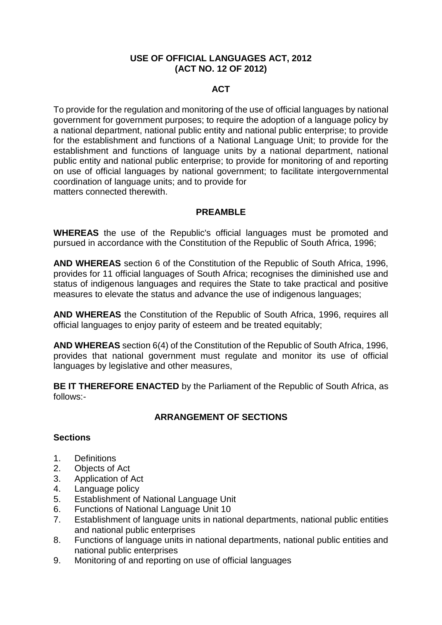#### **USE OF OFFICIAL LANGUAGES ACT, 2012 (ACT NO. 12 OF 2012)**

## **ACT**

To provide for the regulation and monitoring of the use of official languages by national government for government purposes; to require the adoption of a language policy by a national department, national public entity and national public enterprise; to provide for the establishment and functions of a National Language Unit; to provide for the establishment and functions of language units by a national department, national public entity and national public enterprise; to provide for monitoring of and reporting on use of official languages by national government; to facilitate intergovernmental coordination of language units; and to provide for matters connected therewith.

## **PREAMBLE**

**WHEREAS** the use of the Republic's official languages must be promoted and pursued in accordance with the Constitution of the Republic of South Africa, 1996;

**AND WHEREAS** section 6 of the Constitution of the Republic of South Africa, 1996, provides for 11 official languages of South Africa; recognises the diminished use and status of indigenous languages and requires the State to take practical and positive measures to elevate the status and advance the use of indigenous languages;

**AND WHEREAS** the Constitution of the Republic of South Africa, 1996, requires all official languages to enjoy parity of esteem and be treated equitably;

**AND WHEREAS** section 6(4) of the Constitution of the Republic of South Africa, 1996, provides that national government must regulate and monitor its use of official languages by legislative and other measures,

**BE IT THEREFORE ENACTED** by the Parliament of the Republic of South Africa, as follows:-

## **ARRANGEMENT OF SECTIONS**

#### **Sections**

- 1. Definitions
- 2. Objects of Act
- 3. Application of Act
- 4. Language policy
- 5. Establishment of National Language Unit
- 6. Functions of National Language Unit 10
- 7. Establishment of language units in national departments, national public entities and national public enterprises
- 8. Functions of language units in national departments, national public entities and national public enterprises
- 9. Monitoring of and reporting on use of official languages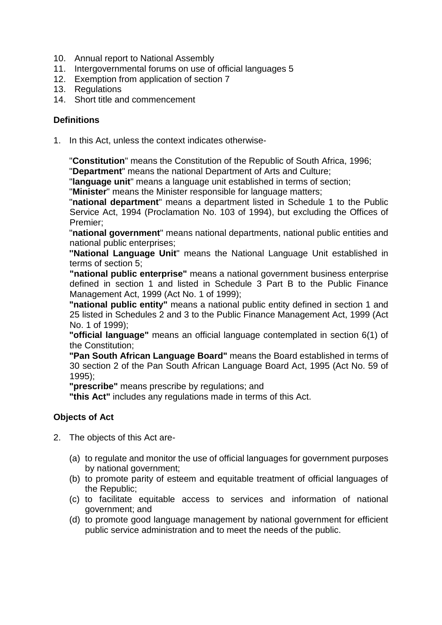- 10. Annual report to National Assembly
- 11. Intergovernmental forums on use of official languages 5
- 12. Exemption from application of section 7
- 13. Regulations
- 14. Short title and commencement

## **Definitions**

1. In this Act, unless the context indicates otherwise-

"**Constitution**" means the Constitution of the Republic of South Africa, 1996;

"**Department**" means the national Department of Arts and Culture;

"**language unit**" means a language unit established in terms of section;

"**Minister**" means the Minister responsible for language matters;

"**national department**" means a department listed in Schedule 1 to the Public Service Act, 1994 (Proclamation No. 103 of 1994), but excluding the Offices of Premier;

"**national government**" means national departments, national public entities and national public enterprises;

**''National Language Unit**" means the National Language Unit established in terms of section 5;

**"national public enterprise"** means a national government business enterprise defined in section 1 and listed in Schedule 3 Part B to the Public Finance Management Act, 1999 (Act No. 1 of 1999);

**"national public entity"** means a national public entity defined in section 1 and 25 listed in Schedules 2 and 3 to the Public Finance Management Act, 1999 (Act No. 1 of 1999);

**"official language"** means an official language contemplated in section 6(1) of the Constitution;

**"Pan South African Language Board"** means the Board established in terms of 30 section 2 of the Pan South African Language Board Act, 1995 (Act No. 59 of 1995);

**"prescribe"** means prescribe by regulations; and

**"this Act"** includes any regulations made in terms of this Act.

## **Objects of Act**

- 2. The objects of this Act are-
	- (a) to regulate and monitor the use of official languages for government purposes by national government;
	- (b) to promote parity of esteem and equitable treatment of official languages of the Republic;
	- (c) to facilitate equitable access to services and information of national government; and
	- (d) to promote good language management by national government for efficient public service administration and to meet the needs of the public.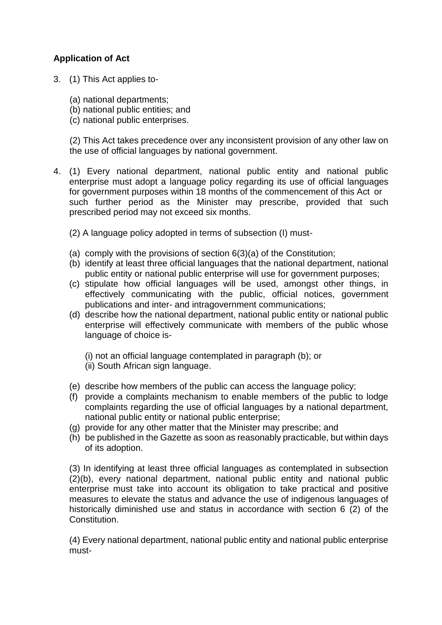# **Application of Act**

- 3. (1) This Act applies to-
	- (a) national departments;
	- (b) national public entities; and
	- (c) national public enterprises.

(2) This Act takes precedence over any inconsistent provision of any other law on the use of official languages by national government.

- 4. (1) Every national department, national public entity and national public enterprise must adopt a language policy regarding its use of official languages for government purposes within 18 months of the commencement of this Act or such further period as the Minister may prescribe, provided that such prescribed period may not exceed six months.
	- (2) A language policy adopted in terms of subsection (I) must-
	- (a) comply with the provisions of section 6(3)(a) of the Constitution;
	- (b) identify at least three official languages that the national department, national public entity or national public enterprise will use for government purposes;
	- (c) stipulate how official languages will be used, amongst other things, in effectively communicating with the public, official notices, government publications and inter- and intragovernment communications;
	- (d) describe how the national department, national public entity or national public enterprise will effectively communicate with members of the public whose language of choice is-

(i) not an official language contemplated in paragraph (b); or (ii) South African sign language.

- (e) describe how members of the public can access the language policy;
- (f) provide a complaints mechanism to enable members of the public to lodge complaints regarding the use of official languages by a national department, national public entity or national public enterprise;
- (g) provide for any other matter that the Minister may prescribe; and
- (h) be published in the Gazette as soon as reasonably practicable, but within days of its adoption.

(3) In identifying at least three official languages as contemplated in subsection (2)(b), every national department, national public entity and national public enterprise must take into account its obligation to take practical and positive measures to elevate the status and advance the use of indigenous languages of historically diminished use and status in accordance with section 6 (2) of the Constitution.

(4) Every national department, national public entity and national public enterprise must-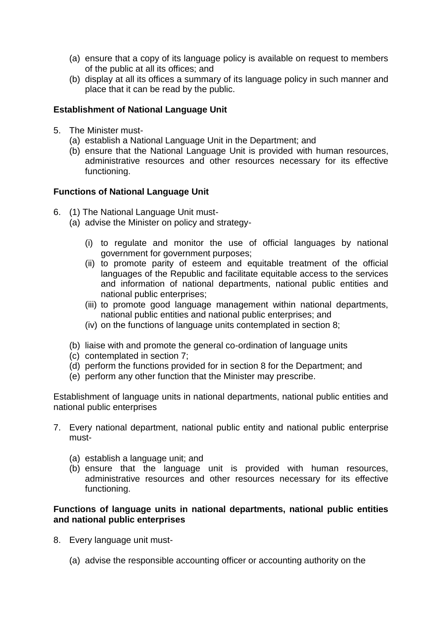- (a) ensure that a copy of its language policy is available on request to members of the public at all its offices; and
- (b) display at all its offices a summary of its language policy in such manner and place that it can be read by the public.

## **Establishment of National Language Unit**

- 5. The Minister must-
	- (a) establish a National Language Unit in the Department; and
	- (b) ensure that the National Language Unit is provided with human resources, administrative resources and other resources necessary for its effective functioning.

## **Functions of National Language Unit**

- 6. (1) The National Language Unit must-
	- (a) advise the Minister on policy and strategy-
		- (i) to regulate and monitor the use of official languages by national government for government purposes;
		- (ii) to promote parity of esteem and equitable treatment of the official languages of the Republic and facilitate equitable access to the services and information of national departments, national public entities and national public enterprises;
		- (iii) to promote good language management within national departments, national public entities and national public enterprises; and
		- (iv) on the functions of language units contemplated in section 8;
	- (b) liaise with and promote the general co-ordination of language units
	- (c) contemplated in section 7;
	- (d) perform the functions provided for in section 8 for the Department; and
	- (e) perform any other function that the Minister may prescribe.

Establishment of language units in national departments, national public entities and national public enterprises

- 7. Every national department, national public entity and national public enterprise must-
	- (a) establish a language unit; and
	- (b) ensure that the language unit is provided with human resources, administrative resources and other resources necessary for its effective functioning.

#### **Functions of language units in national departments, national public entities and national public enterprises**

- 8. Every language unit must-
	- (a) advise the responsible accounting officer or accounting authority on the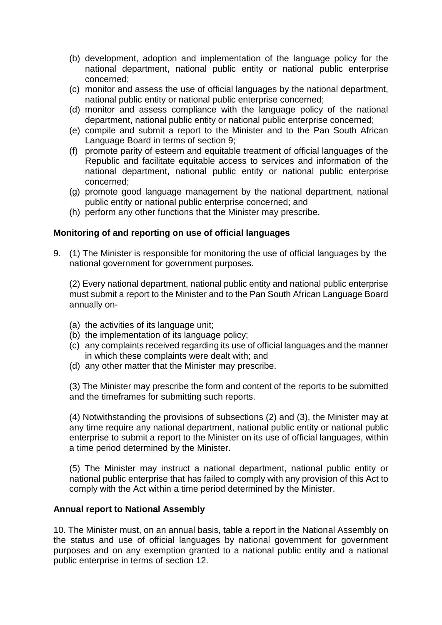- (b) development, adoption and implementation of the language policy for the national department, national public entity or national public enterprise concerned;
- (c) monitor and assess the use of official languages by the national department, national public entity or national public enterprise concerned;
- (d) monitor and assess compliance with the language policy of the national department, national public entity or national public enterprise concerned;
- (e) compile and submit a report to the Minister and to the Pan South African Language Board in terms of section 9;
- (f) promote parity of esteem and equitable treatment of official languages of the Republic and facilitate equitable access to services and information of the national department, national public entity or national public enterprise concerned;
- (g) promote good language management by the national department, national public entity or national public enterprise concerned; and
- (h) perform any other functions that the Minister may prescribe.

#### **Monitoring of and reporting on use of official languages**

9. (1) The Minister is responsible for monitoring the use of official languages by the national government for government purposes.

(2) Every national department, national public entity and national public enterprise must submit a report to the Minister and to the Pan South African Language Board annually on-

- (a) the activities of its language unit;
- (b) the implementation of its language policy;
- (c) any complaints received regarding its use of official languages and the manner in which these complaints were dealt with; and
- (d) any other matter that the Minister may prescribe.

(3) The Minister may prescribe the form and content of the reports to be submitted and the timeframes for submitting such reports.

(4) Notwithstanding the provisions of subsections (2) and (3), the Minister may at any time require any national department, national public entity or national public enterprise to submit a report to the Minister on its use of official languages, within a time period determined by the Minister.

(5) The Minister may instruct a national department, national public entity or national public enterprise that has failed to comply with any provision of this Act to comply with the Act within a time period determined by the Minister.

#### **Annual report to National Assembly**

10. The Minister must, on an annual basis, table a report in the National Assembly on the status and use of official languages by national government for government purposes and on any exemption granted to a national public entity and a national public enterprise in terms of section 12.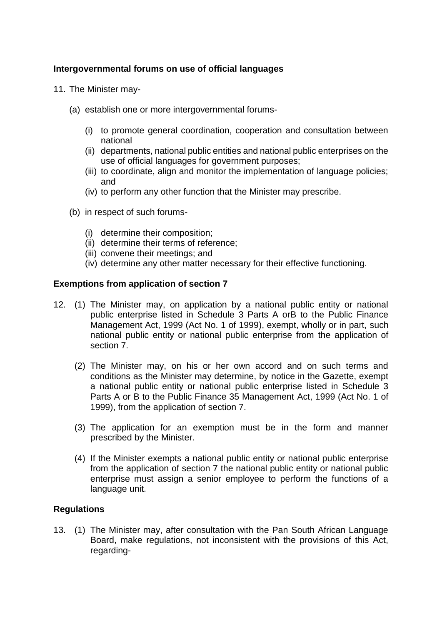## **Intergovernmental forums on use of official languages**

- 11. The Minister may-
	- (a) establish one or more intergovernmental forums-
		- (i) to promote general coordination, cooperation and consultation between national
		- (ii) departments, national public entities and national public enterprises on the use of official languages for government purposes;
		- (iii) to coordinate, align and monitor the implementation of language policies; and
		- (iv) to perform any other function that the Minister may prescribe.
	- (b) in respect of such forums-
		- (i) determine their composition;
		- (ii) determine their terms of reference;
		- (iii) convene their meetings; and
		- (iv) determine any other matter necessary for their effective functioning.

#### **Exemptions from application of section 7**

- 12. (1) The Minister may, on application by a national public entity or national public enterprise listed in Schedule 3 Parts A orB to the Public Finance Management Act, 1999 (Act No. 1 of 1999), exempt, wholly or in part, such national public entity or national public enterprise from the application of section 7.
	- (2) The Minister may, on his or her own accord and on such terms and conditions as the Minister may determine, by notice in the Gazette, exempt a national public entity or national public enterprise listed in Schedule 3 Parts A or B to the Public Finance 35 Management Act, 1999 (Act No. 1 of 1999), from the application of section 7.
	- (3) The application for an exemption must be in the form and manner prescribed by the Minister.
	- (4) If the Minister exempts a national public entity or national public enterprise from the application of section 7 the national public entity or national public enterprise must assign a senior employee to perform the functions of a language unit.

#### **Regulations**

13. (1) The Minister may, after consultation with the Pan South African Language Board, make regulations, not inconsistent with the provisions of this Act, regarding-